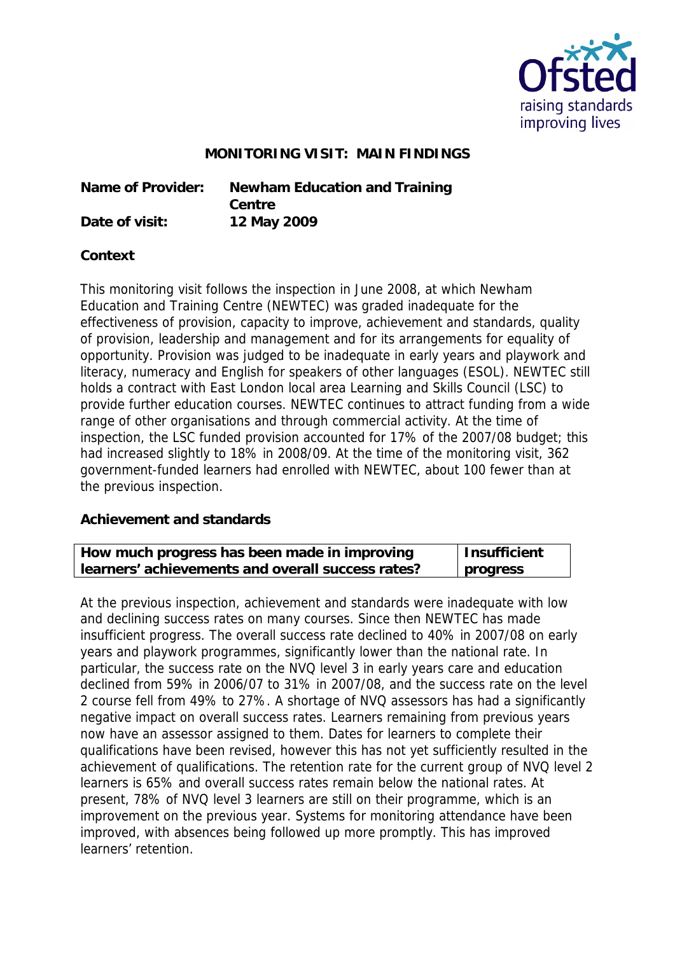

## **MONITORING VISIT: MAIN FINDINGS**

**Name of Provider: Newham Education and Training Centre Date of visit: 12 May 2009**

## **Context**

This monitoring visit follows the inspection in June 2008, at which Newham Education and Training Centre (NEWTEC) was graded inadequate for the effectiveness of provision, capacity to improve, achievement and standards, quality of provision, leadership and management and for its arrangements for equality of opportunity. Provision was judged to be inadequate in early years and playwork and literacy, numeracy and English for speakers of other languages (ESOL). NEWTEC still holds a contract with East London local area Learning and Skills Council (LSC) to provide further education courses. NEWTEC continues to attract funding from a wide range of other organisations and through commercial activity. At the time of inspection, the LSC funded provision accounted for 17% of the 2007/08 budget; this had increased slightly to 18% in 2008/09. At the time of the monitoring visit, 362 government-funded learners had enrolled with NEWTEC, about 100 fewer than at the previous inspection.

## **Achievement and standards**

| How much progress has been made in improving      | Insufficient |
|---------------------------------------------------|--------------|
| learners' achievements and overall success rates? | progress     |

At the previous inspection, achievement and standards were inadequate with low and declining success rates on many courses. Since then NEWTEC has made insufficient progress. The overall success rate declined to 40% in 2007/08 on early years and playwork programmes, significantly lower than the national rate. In particular, the success rate on the NVQ level 3 in early years care and education declined from 59% in 2006/07 to 31% in 2007/08, and the success rate on the level 2 course fell from 49% to 27%. A shortage of NVQ assessors has had a significantly negative impact on overall success rates. Learners remaining from previous years now have an assessor assigned to them. Dates for learners to complete their qualifications have been revised, however this has not yet sufficiently resulted in the achievement of qualifications. The retention rate for the current group of NVQ level 2 learners is 65% and overall success rates remain below the national rates. At present, 78% of NVQ level 3 learners are still on their programme, which is an improvement on the previous year. Systems for monitoring attendance have been improved, with absences being followed up more promptly. This has improved learners' retention.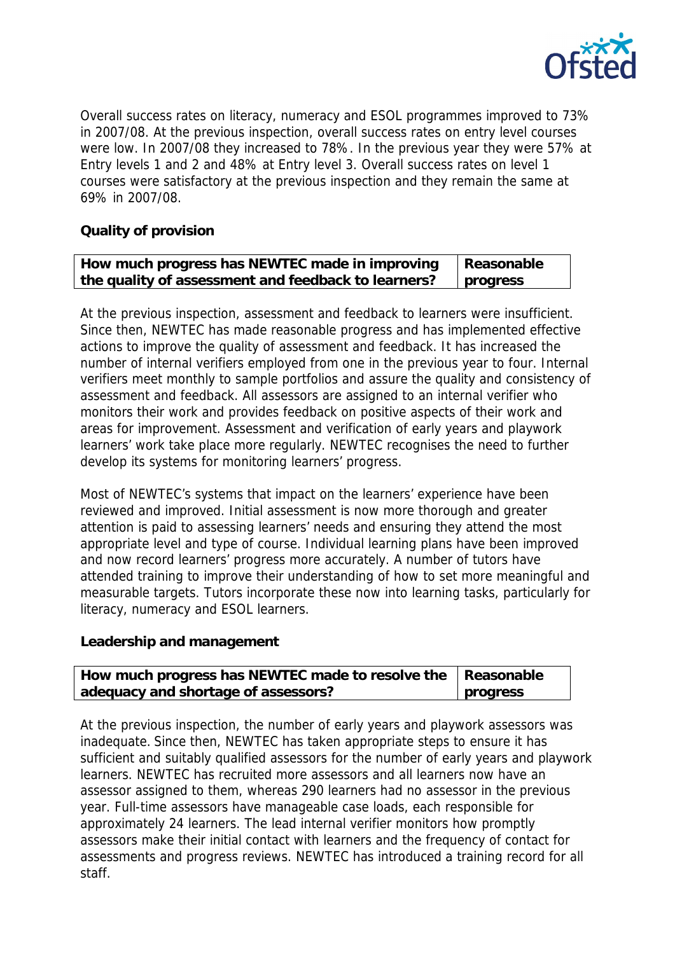

Overall success rates on literacy, numeracy and ESOL programmes improved to 73% in 2007/08. At the previous inspection, overall success rates on entry level courses were low. In 2007/08 they increased to 78%. In the previous year they were 57% at Entry levels 1 and 2 and 48% at Entry level 3. Overall success rates on level 1 courses were satisfactory at the previous inspection and they remain the same at 69% in 2007/08.

**Quality of provision**

| How much progress has NEWTEC made in improving      | Reasonable |
|-----------------------------------------------------|------------|
| the quality of assessment and feedback to learners? | progress   |

At the previous inspection, assessment and feedback to learners were insufficient. Since then, NEWTEC has made reasonable progress and has implemented effective actions to improve the quality of assessment and feedback. It has increased the number of internal verifiers employed from one in the previous year to four. Internal verifiers meet monthly to sample portfolios and assure the quality and consistency of assessment and feedback. All assessors are assigned to an internal verifier who monitors their work and provides feedback on positive aspects of their work and areas for improvement. Assessment and verification of early years and playwork learners' work take place more regularly. NEWTEC recognises the need to further develop its systems for monitoring learners' progress.

Most of NEWTEC's systems that impact on the learners' experience have been reviewed and improved. Initial assessment is now more thorough and greater attention is paid to assessing learners' needs and ensuring they attend the most appropriate level and type of course. Individual learning plans have been improved and now record learners' progress more accurately. A number of tutors have attended training to improve their understanding of how to set more meaningful and measurable targets. Tutors incorporate these now into learning tasks, particularly for literacy, numeracy and ESOL learners.

**Leadership and management**

| How much progress has NEWTEC made to resolve the   Reasonable |          |
|---------------------------------------------------------------|----------|
| adequacy and shortage of assessors?                           | progress |

At the previous inspection, the number of early years and playwork assessors was inadequate. Since then, NEWTEC has taken appropriate steps to ensure it has sufficient and suitably qualified assessors for the number of early years and playwork learners. NEWTEC has recruited more assessors and all learners now have an assessor assigned to them, whereas 290 learners had no assessor in the previous year. Full-time assessors have manageable case loads, each responsible for approximately 24 learners. The lead internal verifier monitors how promptly assessors make their initial contact with learners and the frequency of contact for assessments and progress reviews. NEWTEC has introduced a training record for all staff.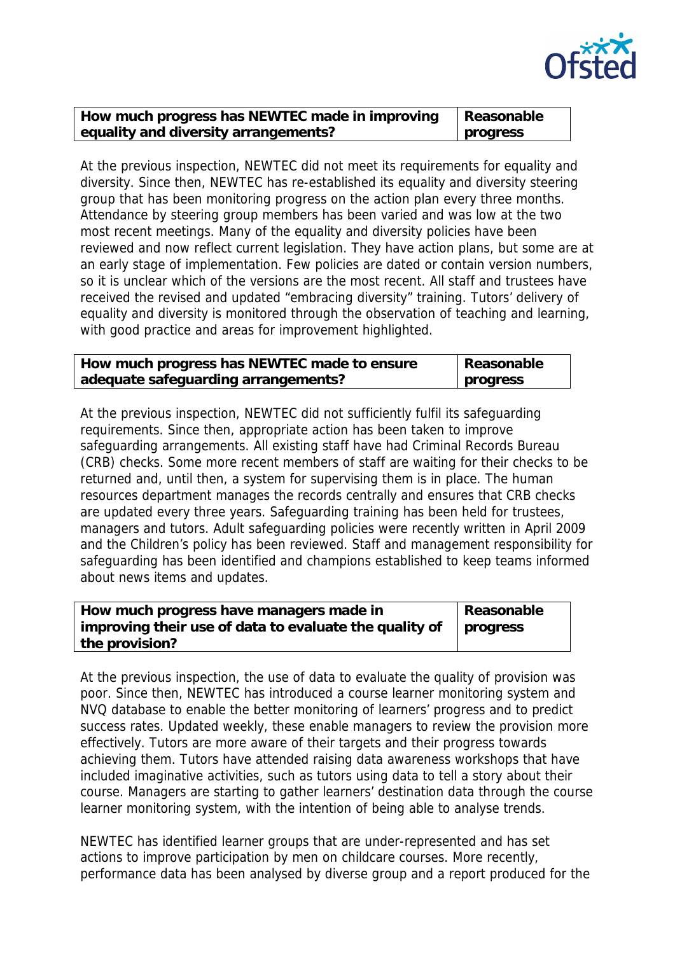

| How much progress has NEWTEC made in improving | Reasonable |
|------------------------------------------------|------------|
| equality and diversity arrangements?           | progress   |

At the previous inspection, NEWTEC did not meet its requirements for equality and diversity. Since then, NEWTEC has re-established its equality and diversity steering group that has been monitoring progress on the action plan every three months. Attendance by steering group members has been varied and was low at the two most recent meetings. Many of the equality and diversity policies have been reviewed and now reflect current legislation. They have action plans, but some are at an early stage of implementation. Few policies are dated or contain version numbers, so it is unclear which of the versions are the most recent. All staff and trustees have received the revised and updated "embracing diversity" training. Tutors' delivery of equality and diversity is monitored through the observation of teaching and learning, with good practice and areas for improvement highlighted.

| How much progress has NEWTEC made to ensure | Reasonable |
|---------------------------------------------|------------|
| adequate safeguarding arrangements?         | progress   |

At the previous inspection, NEWTEC did not sufficiently fulfil its safeguarding requirements. Since then, appropriate action has been taken to improve safeguarding arrangements. All existing staff have had Criminal Records Bureau (CRB) checks. Some more recent members of staff are waiting for their checks to be returned and, until then, a system for supervising them is in place. The human resources department manages the records centrally and ensures that CRB checks are updated every three years. Safeguarding training has been held for trustees, managers and tutors. Adult safeguarding policies were recently written in April 2009 and the Children's policy has been reviewed. Staff and management responsibility for safeguarding has been identified and champions established to keep teams informed about news items and updates.

| How much progress have managers made in                                     | Reasonable |
|-----------------------------------------------------------------------------|------------|
| improving their use of data to evaluate the quality of $\parallel$ progress |            |
| the provision?                                                              |            |

At the previous inspection, the use of data to evaluate the quality of provision was poor. Since then, NEWTEC has introduced a course learner monitoring system and NVQ database to enable the better monitoring of learners' progress and to predict success rates. Updated weekly, these enable managers to review the provision more effectively. Tutors are more aware of their targets and their progress towards achieving them. Tutors have attended raising data awareness workshops that have included imaginative activities, such as tutors using data to tell a story about their course. Managers are starting to gather learners' destination data through the course learner monitoring system, with the intention of being able to analyse trends.

NEWTEC has identified learner groups that are under-represented and has set actions to improve participation by men on childcare courses. More recently, performance data has been analysed by diverse group and a report produced for the